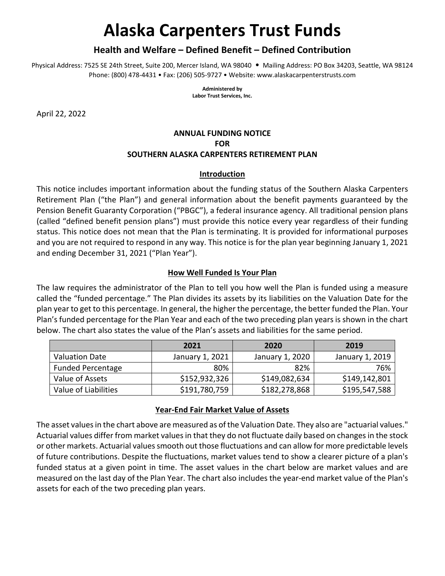# **Alaska Carpenters Trust Funds**

## **Health and Welfare – Defined Benefit – Defined Contribution**

Physical Address: 7525 SE 24th Street, Suite 200, Mercer Island, WA 98040 • Mailing Address: PO Box 34203, Seattle, WA 98124 Phone: (800) 478‐4431 • Fax: (206) 505‐9727 • Website: www.alaskacarpenterstrusts.com

> **Administered by Labor Trust Services, Inc.**

April 22, 2022

# **ANNUAL FUNDING NOTICE FOR SOUTHERN ALASKA CARPENTERS RETIREMENT PLAN**

#### **Introduction**

This notice includes important information about the funding status of the Southern Alaska Carpenters Retirement Plan ("the Plan") and general information about the benefit payments guaranteed by the Pension Benefit Guaranty Corporation ("PBGC"), a federal insurance agency. All traditional pension plans (called "defined benefit pension plans") must provide this notice every year regardless of their funding status. This notice does not mean that the Plan is terminating. It is provided for informational purposes and you are not required to respond in any way. This notice is for the plan year beginning January 1, 2021 and ending December 31, 2021 ("Plan Year").

## **How Well Funded Is Your Plan**

The law requires the administrator of the Plan to tell you how well the Plan is funded using a measure called the "funded percentage." The Plan divides its assets by its liabilities on the Valuation Date for the plan year to get to this percentage. In general, the higher the percentage, the better funded the Plan. Your Plan's funded percentage for the Plan Year and each of the two preceding plan years is shown in the chart below. The chart also states the value of the Plan's assets and liabilities for the same period.

|                          | 2021            | 2020            | 2019            |
|--------------------------|-----------------|-----------------|-----------------|
| <b>Valuation Date</b>    | January 1, 2021 | January 1, 2020 | January 1, 2019 |
| <b>Funded Percentage</b> | 80%             | 82%             | 76%             |
| Value of Assets          | \$152,932,326   | \$149,082,634   | \$149,142,801   |
| Value of Liabilities     | \$191,780,759   | \$182,278,868   | \$195,547,588   |

## **Year‐End Fair Market Value of Assets**

The asset values in the chart above are measured as of the Valuation Date. They also are "actuarial values." Actuarial values differ from market values in that they do not fluctuate daily based on changes in the stock or other markets. Actuarial values smooth out those fluctuations and can allow for more predictable levels of future contributions. Despite the fluctuations, market values tend to show a clearer picture of a plan's funded status at a given point in time. The asset values in the chart below are market values and are measured on the last day of the Plan Year. The chart also includes the year‐end market value of the Plan's assets for each of the two preceding plan years.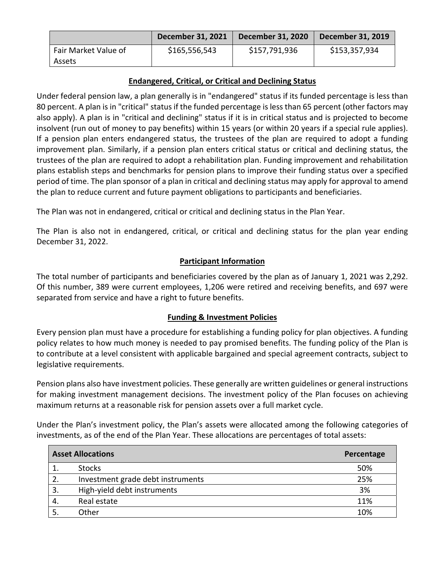|                                | December 31, 2021 | <b>December 31, 2020</b> | December 31, 2019 |
|--------------------------------|-------------------|--------------------------|-------------------|
| Fair Market Value of<br>Assets | \$165,556,543     | \$157,791,936            | \$153,357,934     |

## **Endangered, Critical, or Critical and Declining Status**

Under federal pension law, a plan generally is in "endangered" status if its funded percentage is less than 80 percent. A plan is in "critical" status if the funded percentage is less than 65 percent (other factors may also apply). A plan is in "critical and declining" status if it is in critical status and is projected to become insolvent (run out of money to pay benefits) within 15 years (or within 20 years if a special rule applies). If a pension plan enters endangered status, the trustees of the plan are required to adopt a funding improvement plan. Similarly, if a pension plan enters critical status or critical and declining status, the trustees of the plan are required to adopt a rehabilitation plan. Funding improvement and rehabilitation plans establish steps and benchmarks for pension plans to improve their funding status over a specified period of time. The plan sponsor of a plan in critical and declining status may apply for approval to amend the plan to reduce current and future payment obligations to participants and beneficiaries.

The Plan was not in endangered, critical or critical and declining status in the Plan Year.

The Plan is also not in endangered, critical, or critical and declining status for the plan year ending December 31, 2022.

## **Participant Information**

The total number of participants and beneficiaries covered by the plan as of January 1, 2021 was 2,292. Of this number, 389 were current employees, 1,206 were retired and receiving benefits, and 697 were separated from service and have a right to future benefits.

#### **Funding & Investment Policies**

Every pension plan must have a procedure for establishing a funding policy for plan objectives. A funding policy relates to how much money is needed to pay promised benefits. The funding policy of the Plan is to contribute at a level consistent with applicable bargained and special agreement contracts, subject to legislative requirements.

Pension plans also have investment policies. These generally are written guidelines or general instructions for making investment management decisions. The investment policy of the Plan focuses on achieving maximum returns at a reasonable risk for pension assets over a full market cycle.

Under the Plan's investment policy, the Plan's assets were allocated among the following categories of investments, as of the end of the Plan Year. These allocations are percentages of total assets:

|     | <b>Asset Allocations</b>          | Percentage |
|-----|-----------------------------------|------------|
|     | <b>Stocks</b>                     | 50%        |
| 2.  | Investment grade debt instruments | 25%        |
| -3. | High-yield debt instruments       | 3%         |
|     | Real estate                       | 11%        |
|     | Other                             | 10%        |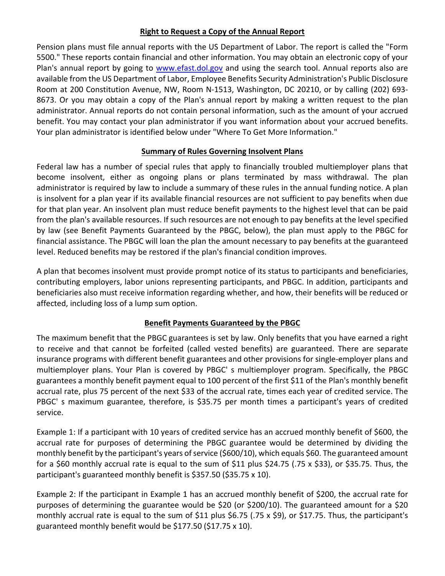## **Right to Request a Copy of the Annual Report**

Pension plans must file annual reports with the US Department of Labor. The report is called the "Form 5500." These reports contain financial and other information. You may obtain an electronic copy of your Plan's annual report by going to www.efast.dol.gov and using the search tool. Annual reports also are available from the US Department of Labor, Employee Benefits Security Administration's Public Disclosure Room at 200 Constitution Avenue, NW, Room N‐1513, Washington, DC 20210, or by calling (202) 693‐ 8673. Or you may obtain a copy of the Plan's annual report by making a written request to the plan administrator. Annual reports do not contain personal information, such as the amount of your accrued benefit. You may contact your plan administrator if you want information about your accrued benefits. Your plan administrator is identified below under "Where To Get More Information."

## **Summary of Rules Governing Insolvent Plans**

Federal law has a number of special rules that apply to financially troubled multiemployer plans that become insolvent, either as ongoing plans or plans terminated by mass withdrawal. The plan administrator is required by law to include a summary of these rules in the annual funding notice. A plan is insolvent for a plan year if its available financial resources are not sufficient to pay benefits when due for that plan year. An insolvent plan must reduce benefit payments to the highest level that can be paid from the plan's available resources. If such resources are not enough to pay benefits at the level specified by law (see Benefit Payments Guaranteed by the PBGC, below), the plan must apply to the PBGC for financial assistance. The PBGC will loan the plan the amount necessary to pay benefits at the guaranteed level. Reduced benefits may be restored if the plan's financial condition improves.

A plan that becomes insolvent must provide prompt notice of its status to participants and beneficiaries, contributing employers, labor unions representing participants, and PBGC. In addition, participants and beneficiaries also must receive information regarding whether, and how, their benefits will be reduced or affected, including loss of a lump sum option.

#### **Benefit Payments Guaranteed by the PBGC**

The maximum benefit that the PBGC guarantees is set by law. Only benefits that you have earned a right to receive and that cannot be forfeited (called vested benefits) are guaranteed. There are separate insurance programs with different benefit guarantees and other provisions for single-employer plans and multiemployer plans. Your Plan is covered by PBGC' s multiemployer program. Specifically, the PBGC guarantees a monthly benefit payment equal to 100 percent of the first \$11 of the Plan's monthly benefit accrual rate, plus 75 percent of the next \$33 of the accrual rate, times each year of credited service. The PBGC' s maximum guarantee, therefore, is \$35.75 per month times a participant's years of credited service.

Example 1: If a participant with 10 years of credited service has an accrued monthly benefit of \$600, the accrual rate for purposes of determining the PBGC guarantee would be determined by dividing the monthly benefit by the participant's years of service (\$600/10), which equals \$60. The guaranteed amount for a \$60 monthly accrual rate is equal to the sum of \$11 plus \$24.75 (.75 x \$33), or \$35.75. Thus, the participant's guaranteed monthly benefit is \$357.50 (\$35.75 x 10).

Example 2: If the participant in Example 1 has an accrued monthly benefit of \$200, the accrual rate for purposes of determining the guarantee would be \$20 (or \$200/10). The guaranteed amount for a \$20 monthly accrual rate is equal to the sum of \$11 plus \$6.75 (.75 x \$9), or \$17.75. Thus, the participant's guaranteed monthly benefit would be \$177.50 (\$17.75 x 10).